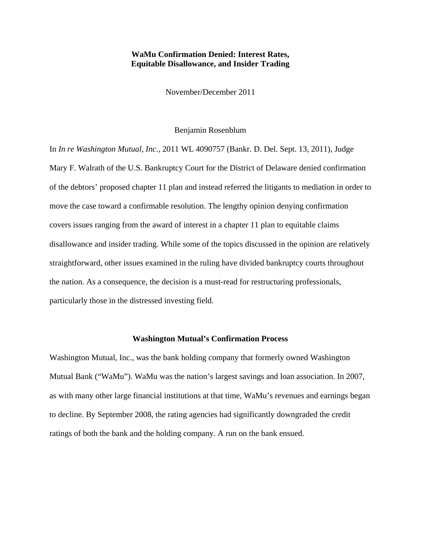# **WaMu Confirmation Denied: Interest Rates, Equitable Disallowance, and Insider Trading**

November/December 2011

#### Benjamin Rosenblum

In *In re Washington Mutual, Inc.*, 2011 WL 4090757 (Bankr. D. Del. Sept. 13, 2011), Judge Mary F. Walrath of the U.S. Bankruptcy Court for the District of Delaware denied confirmation of the debtors' proposed chapter 11 plan and instead referred the litigants to mediation in order to move the case toward a confirmable resolution. The lengthy opinion denying confirmation covers issues ranging from the award of interest in a chapter 11 plan to equitable claims disallowance and insider trading. While some of the topics discussed in the opinion are relatively straightforward, other issues examined in the ruling have divided bankruptcy courts throughout the nation. As a consequence, the decision is a must-read for restructuring professionals, particularly those in the distressed investing field.

# **Washington Mutual's Confirmation Process**

Washington Mutual, Inc., was the bank holding company that formerly owned Washington Mutual Bank ("WaMu"). WaMu was the nation's largest savings and loan association. In 2007, as with many other large financial institutions at that time, WaMu's revenues and earnings began to decline. By September 2008, the rating agencies had significantly downgraded the credit ratings of both the bank and the holding company. A run on the bank ensued.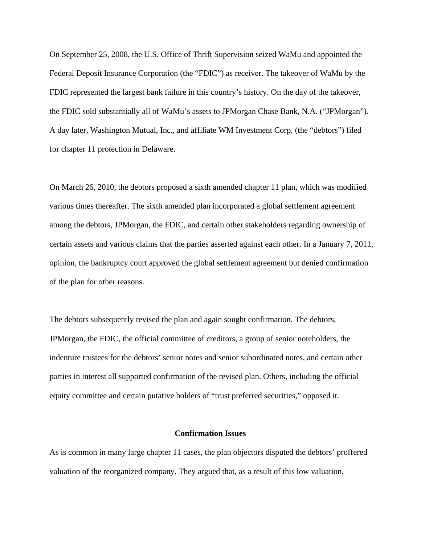On September 25, 2008, the U.S. Office of Thrift Supervision seized WaMu and appointed the Federal Deposit Insurance Corporation (the "FDIC") as receiver. The takeover of WaMu by the FDIC represented the largest bank failure in this country's history. On the day of the takeover, the FDIC sold substantially all of WaMu's assets to JPMorgan Chase Bank, N.A. ("JPMorgan"). A day later, Washington Mutual, Inc., and affiliate WM Investment Corp. (the "debtors") filed for chapter 11 protection in Delaware.

On March 26, 2010, the debtors proposed a sixth amended chapter 11 plan, which was modified various times thereafter. The sixth amended plan incorporated a global settlement agreement among the debtors, JPMorgan, the FDIC, and certain other stakeholders regarding ownership of certain assets and various claims that the parties asserted against each other. In a January 7, 2011, opinion, the bankruptcy court approved the global settlement agreement but denied confirmation of the plan for other reasons.

The debtors subsequently revised the plan and again sought confirmation. The debtors, JPMorgan, the FDIC, the official committee of creditors, a group of senior noteholders, the indenture trustees for the debtors' senior notes and senior subordinated notes, and certain other parties in interest all supported confirmation of the revised plan. Others, including the official equity committee and certain putative holders of "trust preferred securities," opposed it.

### **Confirmation Issues**

As is common in many large chapter 11 cases, the plan objectors disputed the debtors' proffered valuation of the reorganized company. They argued that, as a result of this low valuation,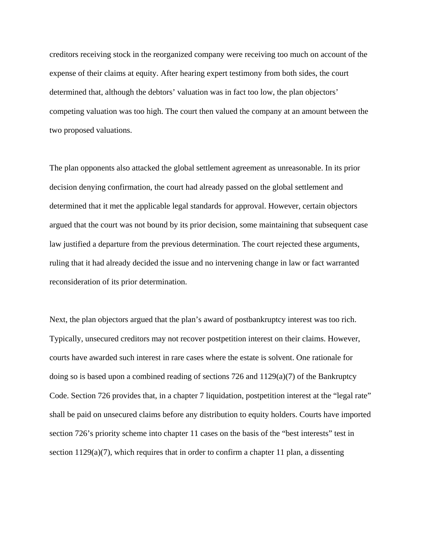creditors receiving stock in the reorganized company were receiving too much on account of the expense of their claims at equity. After hearing expert testimony from both sides, the court determined that, although the debtors' valuation was in fact too low, the plan objectors' competing valuation was too high. The court then valued the company at an amount between the two proposed valuations.

The plan opponents also attacked the global settlement agreement as unreasonable. In its prior decision denying confirmation, the court had already passed on the global settlement and determined that it met the applicable legal standards for approval. However, certain objectors argued that the court was not bound by its prior decision, some maintaining that subsequent case law justified a departure from the previous determination. The court rejected these arguments, ruling that it had already decided the issue and no intervening change in law or fact warranted reconsideration of its prior determination.

Next, the plan objectors argued that the plan's award of postbankruptcy interest was too rich. Typically, unsecured creditors may not recover postpetition interest on their claims. However, courts have awarded such interest in rare cases where the estate is solvent. One rationale for doing so is based upon a combined reading of sections 726 and 1129(a)(7) of the Bankruptcy Code. Section 726 provides that, in a chapter 7 liquidation, postpetition interest at the "legal rate" shall be paid on unsecured claims before any distribution to equity holders. Courts have imported section 726's priority scheme into chapter 11 cases on the basis of the "best interests" test in section 1129(a)(7), which requires that in order to confirm a chapter 11 plan, a dissenting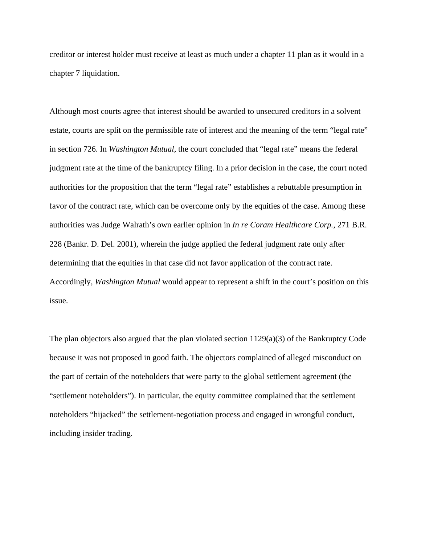creditor or interest holder must receive at least as much under a chapter 11 plan as it would in a chapter 7 liquidation.

Although most courts agree that interest should be awarded to unsecured creditors in a solvent estate, courts are split on the permissible rate of interest and the meaning of the term "legal rate" in section 726. In *Washington Mutual*, the court concluded that "legal rate" means the federal judgment rate at the time of the bankruptcy filing. In a prior decision in the case, the court noted authorities for the proposition that the term "legal rate" establishes a rebuttable presumption in favor of the contract rate, which can be overcome only by the equities of the case. Among these authorities was Judge Walrath's own earlier opinion in *In re Coram Healthcare Corp.*, 271 B.R. 228 (Bankr. D. Del. 2001), wherein the judge applied the federal judgment rate only after determining that the equities in that case did not favor application of the contract rate. Accordingly, *Washington Mutual* would appear to represent a shift in the court's position on this issue.

The plan objectors also argued that the plan violated section 1129(a)(3) of the Bankruptcy Code because it was not proposed in good faith. The objectors complained of alleged misconduct on the part of certain of the noteholders that were party to the global settlement agreement (the "settlement noteholders"). In particular, the equity committee complained that the settlement noteholders "hijacked" the settlement-negotiation process and engaged in wrongful conduct, including insider trading.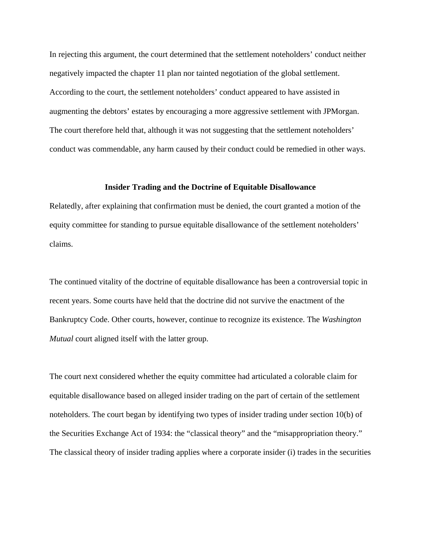In rejecting this argument, the court determined that the settlement noteholders' conduct neither negatively impacted the chapter 11 plan nor tainted negotiation of the global settlement. According to the court, the settlement noteholders' conduct appeared to have assisted in augmenting the debtors' estates by encouraging a more aggressive settlement with JPMorgan. The court therefore held that, although it was not suggesting that the settlement noteholders' conduct was commendable, any harm caused by their conduct could be remedied in other ways.

## **Insider Trading and the Doctrine of Equitable Disallowance**

Relatedly, after explaining that confirmation must be denied, the court granted a motion of the equity committee for standing to pursue equitable disallowance of the settlement noteholders' claims.

The continued vitality of the doctrine of equitable disallowance has been a controversial topic in recent years. Some courts have held that the doctrine did not survive the enactment of the Bankruptcy Code. Other courts, however, continue to recognize its existence. The *Washington Mutual* court aligned itself with the latter group.

The court next considered whether the equity committee had articulated a colorable claim for equitable disallowance based on alleged insider trading on the part of certain of the settlement noteholders. The court began by identifying two types of insider trading under section 10(b) of the Securities Exchange Act of 1934: the "classical theory" and the "misappropriation theory." The classical theory of insider trading applies where a corporate insider (i) trades in the securities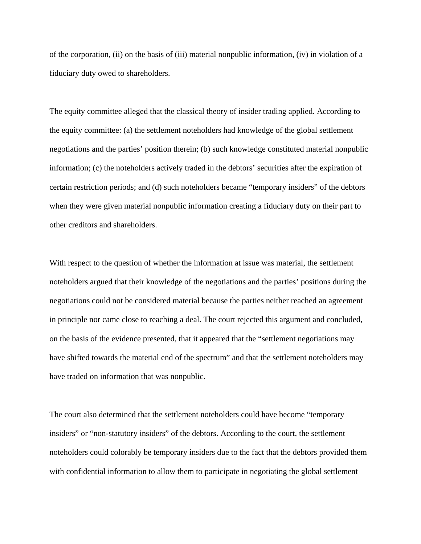of the corporation, (ii) on the basis of (iii) material nonpublic information, (iv) in violation of a fiduciary duty owed to shareholders.

The equity committee alleged that the classical theory of insider trading applied. According to the equity committee: (a) the settlement noteholders had knowledge of the global settlement negotiations and the parties' position therein; (b) such knowledge constituted material nonpublic information; (c) the noteholders actively traded in the debtors' securities after the expiration of certain restriction periods; and (d) such noteholders became "temporary insiders" of the debtors when they were given material nonpublic information creating a fiduciary duty on their part to other creditors and shareholders.

With respect to the question of whether the information at issue was material, the settlement noteholders argued that their knowledge of the negotiations and the parties' positions during the negotiations could not be considered material because the parties neither reached an agreement in principle nor came close to reaching a deal. The court rejected this argument and concluded, on the basis of the evidence presented, that it appeared that the "settlement negotiations may have shifted towards the material end of the spectrum" and that the settlement noteholders may have traded on information that was nonpublic.

The court also determined that the settlement noteholders could have become "temporary insiders" or "non-statutory insiders" of the debtors. According to the court, the settlement noteholders could colorably be temporary insiders due to the fact that the debtors provided them with confidential information to allow them to participate in negotiating the global settlement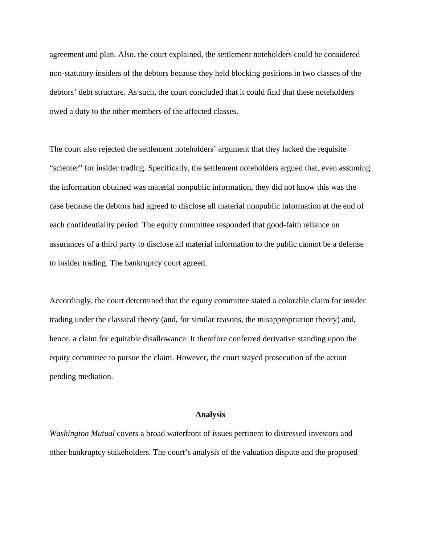agreement and plan. Also, the court explained, the settlement noteholders could be considered non-statutory insiders of the debtors because they held blocking positions in two classes of the debtors' debt structure. As such, the court concluded that it could find that these noteholders owed a duty to the other members of the affected classes.

The court also rejected the settlement noteholders' argument that they lacked the requisite "scienter" for insider trading. Specifically, the settlement noteholders argued that, even assuming the information obtained was material nonpublic information, they did not know this was the case because the debtors had agreed to disclose all material nonpublic information at the end of each confidentiality period. The equity committee responded that good-faith reliance on assurances of a third party to disclose all material information to the public cannot be a defense to insider trading. The bankruptcy court agreed.

Accordingly, the court determined that the equity committee stated a colorable claim for insider trading under the classical theory (and, for similar reasons, the misappropriation theory) and, hence, a claim for equitable disallowance. It therefore conferred derivative standing upon the equity committee to pursue the claim. However, the court stayed prosecution of the action pending mediation.

### **Analysis**

*Washington Mutual* covers a broad waterfront of issues pertinent to distressed investors and other bankruptcy stakeholders. The court's analysis of the valuation dispute and the proposed